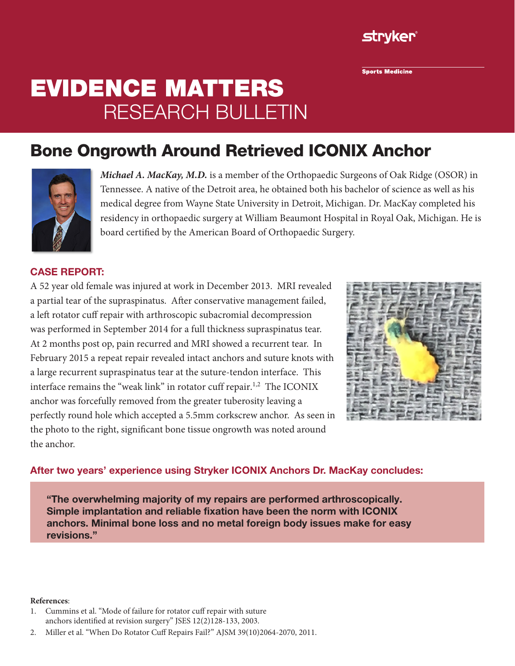

**Sports Medicine** 

# Evidence Matters research bulletin

## Bone Ongrowth Around Retrieved ICONIX Anchor



*Michael A. MacKay, M.D.* is a member of the Orthopaedic Surgeons of Oak Ridge (OSOR) in Tennessee. A native of the Detroit area, he obtained both his bachelor of science as well as his medical degree from Wayne State University in Detroit, Michigan. Dr. MacKay completed his residency in orthopaedic surgery at William Beaumont Hospital in Royal Oak, Michigan. He is board certified by the American Board of Orthopaedic Surgery.

#### CASE REPORT:

A 52 year old female was injured at work in December 2013. MRI revealed a partial tear of the supraspinatus. After conservative management failed, a left rotator cuff repair with arthroscopic subacromial decompression was performed in September 2014 for a full thickness supraspinatus tear. At 2 months post op, pain recurred and MRI showed a recurrent tear. In February 2015 a repeat repair revealed intact anchors and suture knots with a large recurrent supraspinatus tear at the suture-tendon interface. This interface remains the "weak link" in rotator cuff repair.<sup>1,2</sup> The ICONIX anchor was forcefully removed from the greater tuberosity leaving a perfectly round hole which accepted a 5.5mm corkscrew anchor. As seen in the photo to the right, significant bone tissue ongrowth was noted around the anchor.



#### After two years' experience using Stryker ICONIX Anchors Dr. MacKay concludes:

"The overwhelming majority of my repairs are performed arthroscopically. Simple implantation and reliable fixation have been the norm with ICONIX anchors. Minimal bone loss and no metal foreign body issues make for easy revisions."

#### **References**:

- 1. Cummins et al. "Mode of failure for rotator cuff repair with suture anchors identified at revision surgery" JSES 12(2)128-133, 2003.
- 2. Miller et al. "When Do Rotator Cuff Repairs Fail?" AJSM 39(10)2064-2070, 2011.